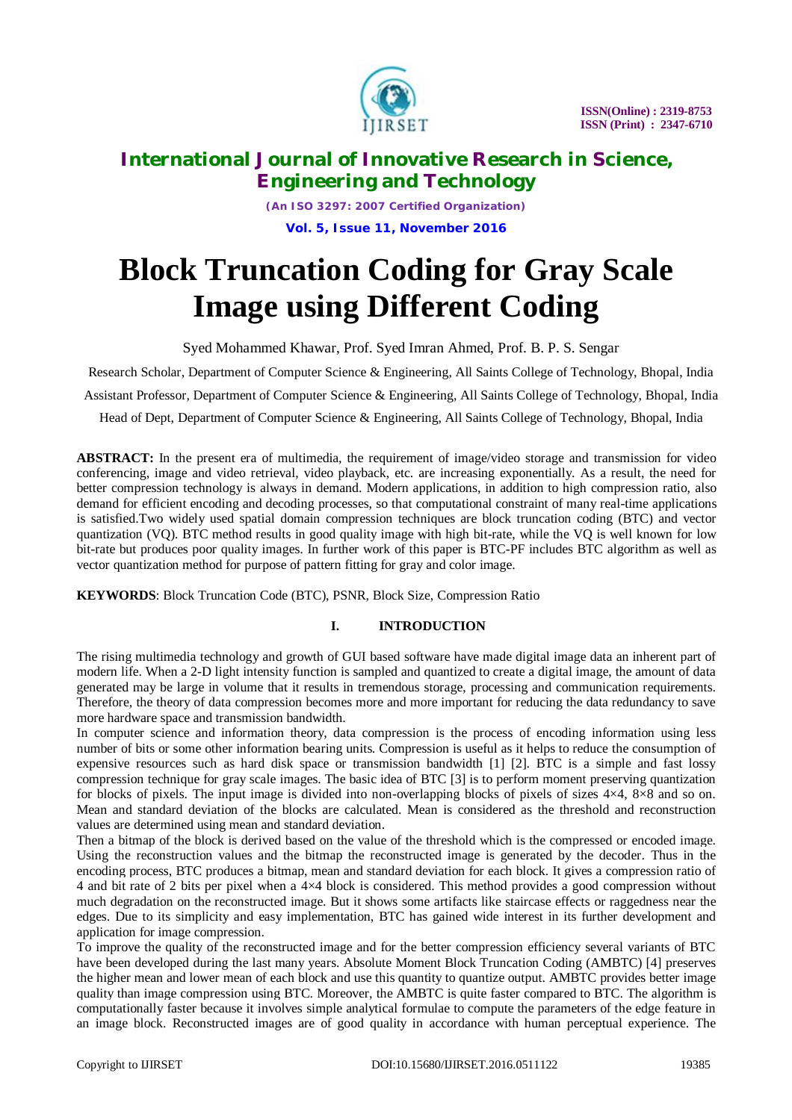

*(An ISO 3297: 2007 Certified Organization)* **Vol. 5, Issue 11, November 2016**

# **Block Truncation Coding for Gray Scale Image using Different Coding**

Syed Mohammed Khawar, Prof. Syed Imran Ahmed, Prof. B. P. S. Sengar

Research Scholar, Department of Computer Science & Engineering, All Saints College of Technology, Bhopal, India

Assistant Professor, Department of Computer Science & Engineering, All Saints College of Technology, Bhopal, India

Head of Dept, Department of Computer Science & Engineering, All Saints College of Technology, Bhopal, India

**ABSTRACT:** In the present era of multimedia, the requirement of image/video storage and transmission for video conferencing, image and video retrieval, video playback, etc. are increasing exponentially. As a result, the need for better compression technology is always in demand. Modern applications, in addition to high compression ratio, also demand for efficient encoding and decoding processes, so that computational constraint of many real-time applications is satisfied.Two widely used spatial domain compression techniques are block truncation coding (BTC) and vector quantization (VQ). BTC method results in good quality image with high bit-rate, while the VQ is well known for low bit-rate but produces poor quality images. In further work of this paper is BTC-PF includes BTC algorithm as well as vector quantization method for purpose of pattern fitting for gray and color image.

**KEYWORDS**: Block Truncation Code (BTC), PSNR, Block Size, Compression Ratio

## **I. INTRODUCTION**

The rising multimedia technology and growth of GUI based software have made digital image data an inherent part of modern life. When a 2-D light intensity function is sampled and quantized to create a digital image, the amount of data generated may be large in volume that it results in tremendous storage, processing and communication requirements. Therefore, the theory of data compression becomes more and more important for reducing the data redundancy to save more hardware space and transmission bandwidth.

In computer science and information theory, data compression is the process of encoding information using less number of bits or some other information bearing units. Compression is useful as it helps to reduce the consumption of expensive resources such as hard disk space or transmission bandwidth [1] [2]. BTC is a simple and fast lossy compression technique for gray scale images. The basic idea of BTC [3] is to perform moment preserving quantization for blocks of pixels. The input image is divided into non-overlapping blocks of pixels of sizes  $4\times4$ ,  $8\times8$  and so on. Mean and standard deviation of the blocks are calculated. Mean is considered as the threshold and reconstruction values are determined using mean and standard deviation.

Then a bitmap of the block is derived based on the value of the threshold which is the compressed or encoded image. Using the reconstruction values and the bitmap the reconstructed image is generated by the decoder. Thus in the encoding process, BTC produces a bitmap, mean and standard deviation for each block. It gives a compression ratio of 4 and bit rate of 2 bits per pixel when a 4×4 block is considered. This method provides a good compression without much degradation on the reconstructed image. But it shows some artifacts like staircase effects or raggedness near the edges. Due to its simplicity and easy implementation, BTC has gained wide interest in its further development and application for image compression.

To improve the quality of the reconstructed image and for the better compression efficiency several variants of BTC have been developed during the last many years. Absolute Moment Block Truncation Coding (AMBTC) [4] preserves the higher mean and lower mean of each block and use this quantity to quantize output. AMBTC provides better image quality than image compression using BTC. Moreover, the AMBTC is quite faster compared to BTC. The algorithm is computationally faster because it involves simple analytical formulae to compute the parameters of the edge feature in an image block. Reconstructed images are of good quality in accordance with human perceptual experience. The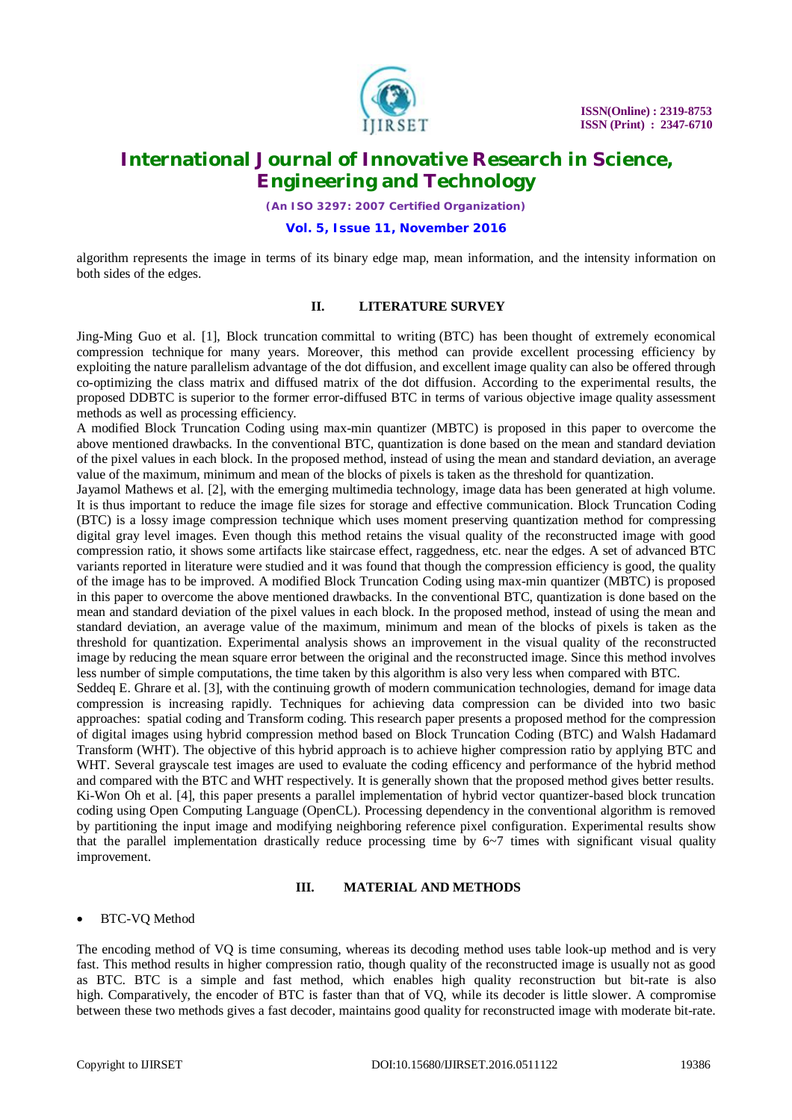

*(An ISO 3297: 2007 Certified Organization)*

**Vol. 5, Issue 11, November 2016**

algorithm represents the image in terms of its binary edge map, mean information, and the intensity information on both sides of the edges.

#### **II. LITERATURE SURVEY**

Jing-Ming Guo et al. [1], Block truncation committal to writing (BTC) has been thought of extremely economical compression technique for many years. Moreover, this method can provide excellent processing efficiency by exploiting the nature parallelism advantage of the dot diffusion, and excellent image quality can also be offered through co-optimizing the class matrix and diffused matrix of the dot diffusion. According to the experimental results, the proposed DDBTC is superior to the former error-diffused BTC in terms of various objective image quality assessment methods as well as processing efficiency.

A modified Block Truncation Coding using max-min quantizer (MBTC) is proposed in this paper to overcome the above mentioned drawbacks. In the conventional BTC, quantization is done based on the mean and standard deviation of the pixel values in each block. In the proposed method, instead of using the mean and standard deviation, an average value of the maximum, minimum and mean of the blocks of pixels is taken as the threshold for quantization.

Jayamol Mathews et al. [2], with the emerging multimedia technology, image data has been generated at high volume. It is thus important to reduce the image file sizes for storage and effective communication. Block Truncation Coding (BTC) is a lossy image compression technique which uses moment preserving quantization method for compressing digital gray level images. Even though this method retains the visual quality of the reconstructed image with good compression ratio, it shows some artifacts like staircase effect, raggedness, etc. near the edges. A set of advanced BTC variants reported in literature were studied and it was found that though the compression efficiency is good, the quality of the image has to be improved. A modified Block Truncation Coding using max-min quantizer (MBTC) is proposed in this paper to overcome the above mentioned drawbacks. In the conventional BTC, quantization is done based on the mean and standard deviation of the pixel values in each block. In the proposed method, instead of using the mean and standard deviation, an average value of the maximum, minimum and mean of the blocks of pixels is taken as the threshold for quantization. Experimental analysis shows an improvement in the visual quality of the reconstructed image by reducing the mean square error between the original and the reconstructed image. Since this method involves less number of simple computations, the time taken by this algorithm is also very less when compared with BTC.

Seddeq E. Ghrare et al. [3], with the continuing growth of modern communication technologies, demand for image data compression is increasing rapidly. Techniques for achieving data compression can be divided into two basic approaches: spatial coding and Transform coding. This research paper presents a proposed method for the compression of digital images using hybrid compression method based on Block Truncation Coding (BTC) and Walsh Hadamard Transform (WHT). The objective of this hybrid approach is to achieve higher compression ratio by applying BTC and WHT. Several grayscale test images are used to evaluate the coding efficency and performance of the hybrid method and compared with the BTC and WHT respectively. It is generally shown that the proposed method gives better results. Ki-Won Oh et al. [4], this paper presents a parallel implementation of hybrid vector quantizer-based block truncation coding using Open Computing Language (OpenCL). Processing dependency in the conventional algorithm is removed by partitioning the input image and modifying neighboring reference pixel configuration. Experimental results show that the parallel implementation drastically reduce processing time by  $6~7$  times with significant visual quality improvement.

### **III. MATERIAL AND METHODS**

#### BTC-VQ Method

The encoding method of VQ is time consuming, whereas its decoding method uses table look-up method and is very fast. This method results in higher compression ratio, though quality of the reconstructed image is usually not as good as BTC. BTC is a simple and fast method, which enables high quality reconstruction but bit-rate is also high. Comparatively, the encoder of BTC is faster than that of VQ, while its decoder is little slower. A compromise between these two methods gives a fast decoder, maintains good quality for reconstructed image with moderate bit-rate.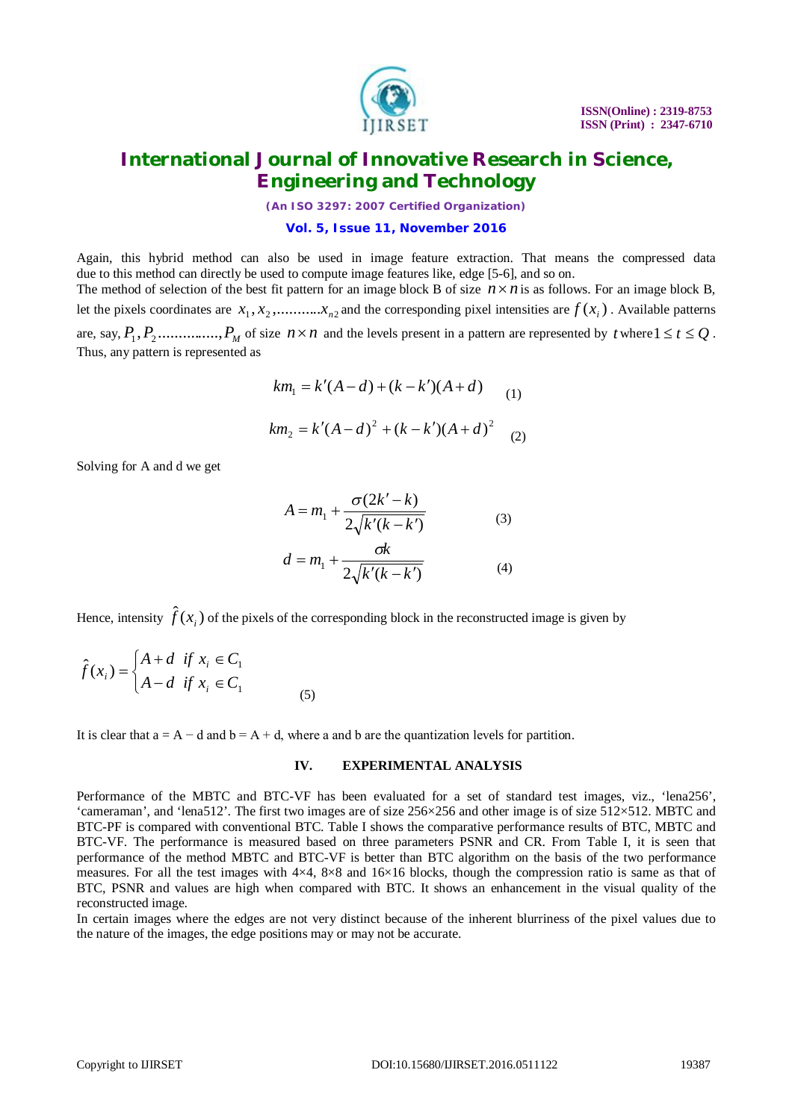

*(An ISO 3297: 2007 Certified Organization)*

#### **Vol. 5, Issue 11, November 2016**

Again, this hybrid method can also be used in image feature extraction. That means the compressed data due to this method can directly be used to compute image features like, edge [5-6], and so on.

The method of selection of the best fit pattern for an image block B of size  $n \times n$  is as follows. For an image block B, let the pixels coordinates are  $x_1, x_2, \ldots, x_{n_2}$  and the corresponding pixel intensities are  $f(x_i)$ . Available patterns are, say,  $P_1, P_2$ .............,,  $P_M$  of size  $n \times n$  and the levels present in a pattern are represented by *t* where  $1 \le t \le Q$ . Thus, any pattern is represented as

$$
km_1 = k'(A - d) + (k - k')(A + d)
$$
 (1)

$$
km_2 = k'(A-d)^2 + (k-k')(A+d)^2 \quad (2)
$$

Solving for A and d we get

$$
A = m_1 + \frac{\sigma(2k' - k)}{2\sqrt{k'(k - k')}}
$$
 (3)

$$
d = m_1 + \frac{\sigma k}{2\sqrt{k'(k - k')}}
$$
 (4)

Hence, intensity  $\hat{f}(x_i)$  of the pixels of the corresponding block in the reconstructed image is given by

$$
\hat{f}(x_i) = \begin{cases} A + d & \text{if } x_i \in C_1 \\ A - d & \text{if } x_i \in C_1 \end{cases}
$$
\n(5)

It is clear that  $a = A - d$  and  $b = A + d$ , where a and b are the quantization levels for partition.

#### **IV. EXPERIMENTAL ANALYSIS**

Performance of the MBTC and BTC-VF has been evaluated for a set of standard test images, viz., 'lena256', 'cameraman', and 'lena512'. The first two images are of size 256×256 and other image is of size 512×512. MBTC and BTC-PF is compared with conventional BTC. Table I shows the comparative performance results of BTC, MBTC and BTC-VF. The performance is measured based on three parameters PSNR and CR. From Table I, it is seen that performance of the method MBTC and BTC-VF is better than BTC algorithm on the basis of the two performance measures. For all the test images with  $4\times4$ ,  $8\times8$  and  $16\times16$  blocks, though the compression ratio is same as that of BTC, PSNR and values are high when compared with BTC. It shows an enhancement in the visual quality of the reconstructed image.

In certain images where the edges are not very distinct because of the inherent blurriness of the pixel values due to the nature of the images, the edge positions may or may not be accurate.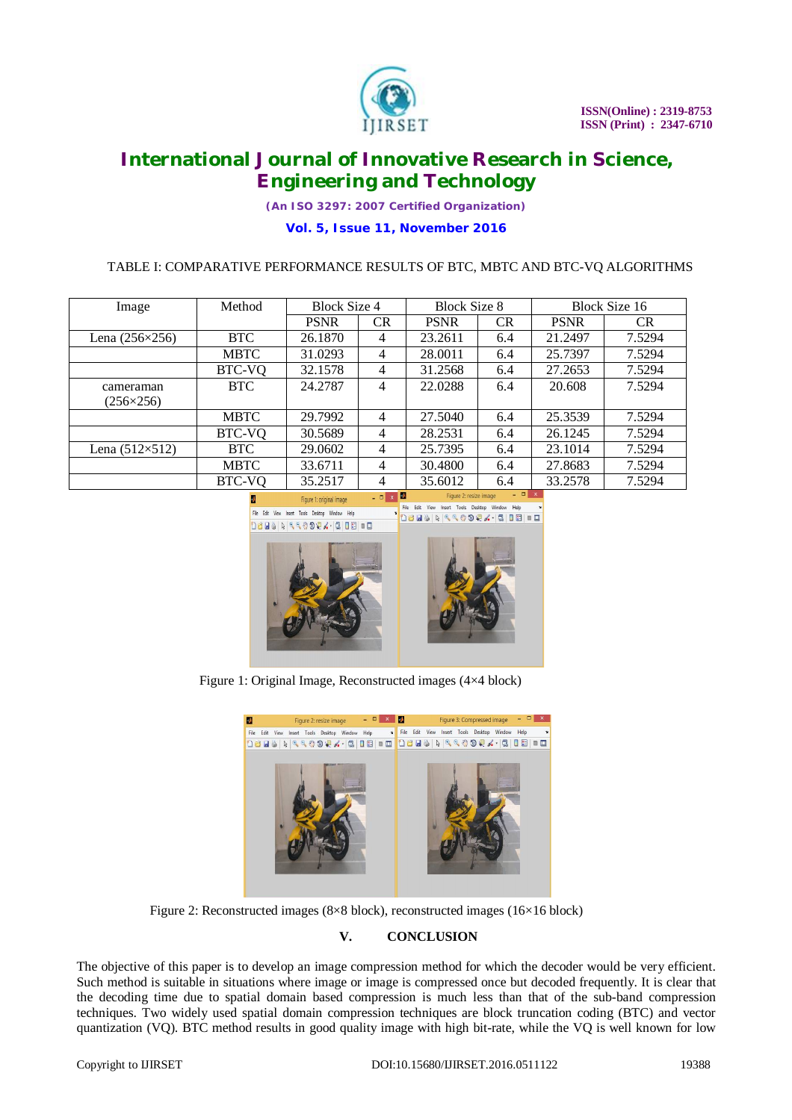

*(An ISO 3297: 2007 Certified Organization)* **Vol. 5, Issue 11, November 2016**

## TABLE I: COMPARATIVE PERFORMANCE RESULTS OF BTC, MBTC AND BTC-VQ ALGORITHMS

| Image                 | Method      | <b>Block Size 4</b> |                | <b>Block Size 8</b> |           | Block Size 16 |           |
|-----------------------|-------------|---------------------|----------------|---------------------|-----------|---------------|-----------|
|                       |             | <b>PSNR</b>         | <b>CR</b>      | <b>PSNR</b>         | <b>CR</b> | <b>PSNR</b>   | <b>CR</b> |
| Lena $(256\times256)$ | BTC         | 26.1870             | $\overline{4}$ | 23.2611             | 6.4       | 21.2497       | 7.5294    |
|                       | <b>MBTC</b> | 31.0293             | $\overline{4}$ | 28.0011             | 6.4       | 25.7397       | 7.5294    |
|                       | BTC-VQ      | 32.1578             | $\overline{4}$ | 31.2568             | 6.4       | 27.2653       | 7.5294    |
| cameraman             | <b>BTC</b>  | 24.2787             | $\overline{4}$ | 22.0288             | 6.4       | 20.608        | 7.5294    |
| $(256\times256)$      |             |                     |                |                     |           |               |           |
|                       | <b>MBTC</b> | 29.7992             | $\overline{4}$ | 27.5040             | 6.4       | 25.3539       | 7.5294    |
|                       | BTC-VQ      | 30.5689             | $\overline{4}$ | 28.2531             | 6.4       | 26.1245       | 7.5294    |
| Lena $(512\times512)$ | BTC         | 29.0602             | $\overline{4}$ | 25.7395             | 6.4       | 23.1014       | 7.5294    |
|                       | <b>MBTC</b> | 33.6711             | $\overline{4}$ | 30.4800             | 6.4       | 27.8683       | 7.5294    |
|                       | BTC-VQ      | 35.2517             | $\overline{4}$ | 35.6012             | 6.4       | 33.2578       | 7.5294    |



Figure 1: Original Image, Reconstructed images (4×4 block)



Figure 2: Reconstructed images (8×8 block), reconstructed images (16×16 block)

## **V. CONCLUSION**

The objective of this paper is to develop an image compression method for which the decoder would be very efficient. Such method is suitable in situations where image or image is compressed once but decoded frequently. It is clear that the decoding time due to spatial domain based compression is much less than that of the sub-band compression techniques. Two widely used spatial domain compression techniques are block truncation coding (BTC) and vector quantization (VQ). BTC method results in good quality image with high bit-rate, while the VQ is well known for low